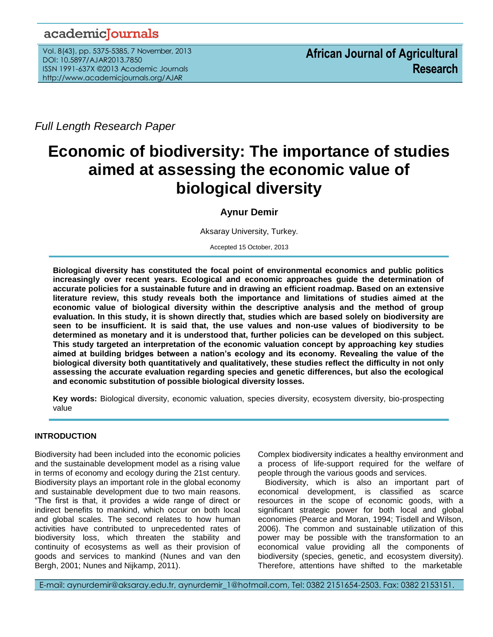# academicJournals

Vol. 8(43), pp. 5375-5385, 7 November, 2013 DOI: 10.5897/AJAR2013.7850 ISSN 1991-637X ©2013 Academic Journals http://www.academicjournals.org/AJAR

*Full Length Research Paper*

# **Economic of biodiversity: The importance of studies aimed at assessing the economic value of biological diversity**

## **Aynur Demir**

Aksaray University, Turkey.

Accepted 15 October, 2013

**Biological diversity has constituted the focal point of environmental economics and public politics increasingly over recent years. Ecological and economic approaches guide the determination of accurate policies for a sustainable future and in drawing an efficient roadmap. Based on an extensive literature review, this study reveals both the importance and limitations of studies aimed at the economic value of biological diversity within the descriptive analysis and the method of group evaluation. In this study, it is shown directly that, studies which are based solely on biodiversity are seen to be insufficient. It is said that, the use values and non-use values of biodiversity to be determined as monetary and it is understood that, further policies can be developed on this subject. This study targeted an interpretation of the economic valuation concept by approaching key studies aimed at building bridges between a nation's ecology and its economy. Revealing the value of the biological diversity both quantitatively and qualitatively, these studies reflect the difficulty in not only assessing the accurate evaluation regarding species and genetic differences, but also the ecological and economic substitution of possible biological diversity losses.** 

**Key words:** Biological diversity, economic valuation, species diversity, ecosystem diversity, bio-prospecting value

### **INTRODUCTION**

...*.*

Biodiversity had been included into the economic policies and the sustainable development model as a rising value in terms of economy and ecology during the 21st century. Biodiversity plays an important role in the global economy and sustainable development due to two main reasons. "The first is that, it provides a wide range of direct or indirect benefits to mankind, which occur on both local and global scales. The second relates to how human activities have contributed to unprecedented rates of biodiversity loss, which threaten the stability and continuity of ecosystems as well as their provision of goods and services to mankind (Nunes and van den Bergh, 2001; Nunes and Nijkamp, 2011).

Complex biodiversity indicates a healthy environment and a process of life-support required for the welfare of people through the various goods and services.

Biodiversity, which is also an important part of economical development, is classified as scarce resources in the scope of economic goods, with a significant strategic power for both local and global economies (Pearce and Moran, 1994; Tisdell and Wilson, 2006). The common and sustainable utilization of this power may be possible with the transformation to an economical value providing all the components of biodiversity (species, genetic, and ecosystem diversity). Therefore, attentions have shifted to the marketable

E-mail: aynurdemir@aksaray.edu.tr, aynurdemir\_1@hotmail.com, Tel: 0382 2151654-2503. Fax: 0382 2153151.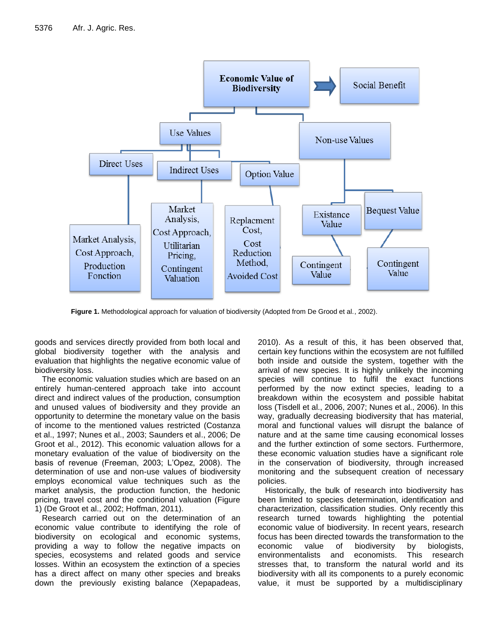

**Figure 1.** Methodological approach for valuation of biodiversity (Adopted from De Grood et al., 2002).

goods and services directly provided from both local and global biodiversity together with the analysis and evaluation that highlights the negative economic value of biodiversity loss.

The economic valuation studies which are based on an entirely human-centered approach take into account direct and indirect values of the production, consumption and unused values of biodiversity and they provide an opportunity to determine the monetary value on the basis **way**, gradually decreasing biodive of income to the mentioned values restricted (Costanza et al., 1997; Nunes et al., 2003; Saunders et al., 2006; De Groot et al., 2012). This economic valuation allows for a monetary evaluation of the value of biodiversity on the basis of revenue (Freeman, 2003; L'Opez, 2008). The determination of use and non-use values of biodiversity employs economical value techniques such as the market analysis, the production function, the hedonic pricing, travel cost and the conditional valuation (Figure 1) (De Groot et al., 2002; Hoffman, 2011).

Research carried out on the determination of an economic value contribute to identifying the role of biodiversity on ecological and economic systems, providing a way to follow the negative impacts on species, ecosystems and related goods and service losses. Within an ecosystem the extinction of a species has a direct affect on many other species and breaks down the previously existing balance (Xepapadeas,

2010). As a result of this, it has been observed that, certain key functions within the ecosystem are not fulfilled both inside and outside the system, together with the arrival of new species. It is highly unlikely the incoming species will continue to fulfil the exact functions performed by the now extinct species, leading to a breakdown within the ecosystem and possible habitat loss (Tisdell et al., 2006, 2007; Nunes et al., 2006). In this way, gradually decreasing biodiversity that has material, moral and functional values will disrupt the balance of nature and at the same time causing economical losses and the further extinction of some sectors. Furthermore, these economic valuation studies have a significant role in the conservation of biodiversity, through increased monitoring and the subsequent creation of necessary policies.

Historically, the bulk of research into biodiversity has been limited to species determination, identification and characterization, classification studies. Only recently this research turned towards highlighting the potential economic value of biodiversity. In recent years, research focus has been directed towards the transformation to the economic value of biodiversity by biologists,<br>environmentalists and economists. This research environmentalists and economists. stresses that, to transform the natural world and its biodiversity with all its components to a purely economic value, it must be supported by a multidisciplinary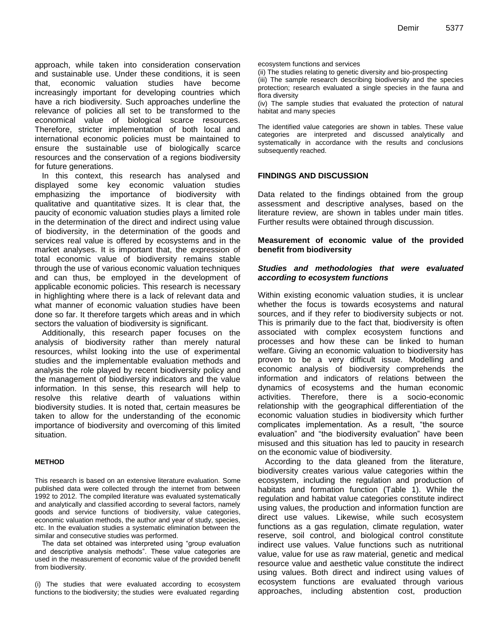approach, while taken into consideration conservation and sustainable use. Under these conditions, it is seen that, economic valuation studies have become increasingly important for developing countries which have a rich biodiversity. Such approaches underline the relevance of policies all set to be transformed to the economical value of biological scarce resources. Therefore, stricter implementation of both local and international economic policies must be maintained to ensure the sustainable use of biologically scarce resources and the conservation of a regions biodiversity for future generations.

In this context, this research has analysed and displayed some key economic valuation studies emphasizing the importance of biodiversity with qualitative and quantitative sizes. It is clear that, the paucity of economic valuation studies plays a limited role in the determination of the direct and indirect using value of biodiversity, in the determination of the goods and services real value is offered by ecosystems and in the market analyses. It is important that, the expression of total economic value of biodiversity remains stable through the use of various economic valuation techniques and can thus, be employed in the development of applicable economic policies. This research is necessary in highlighting where there is a lack of relevant data and what manner of economic valuation studies have been done so far. It therefore targets which areas and in which sectors the valuation of biodiversity is significant.

Additionally, this research paper focuses on the analysis of biodiversity rather than merely natural resources, whilst looking into the use of experimental studies and the implementable evaluation methods and analysis the role played by recent biodiversity policy and the management of biodiversity indicators and the value information. In this sense, this research will help to resolve this relative dearth of valuations within biodiversity studies. It is noted that, certain measures be taken to allow for the understanding of the economic importance of biodiversity and overcoming of this limited situation.

#### **METHOD**

This research is based on an extensive literature evaluation. Some published data were collected through the internet from between 1992 to 2012. The compiled literature was evaluated systematically and analytically and classified according to several factors, namely goods and service functions of biodiversity, value categories, economic valuation methods, the author and year of study, species, etc. In the evaluation studies a systematic elimination between the similar and consecutive studies was performed.

The data set obtained was interpreted using "group evaluation and descriptive analysis methods". These value categories are used in the measurement of economic value of the provided benefit from biodiversity.

(i) The studies that were evaluated according to ecosystem functions to the biodiversity; the studies were evaluated regarding

ecosystem functions and services

(ii) The studies relating to genetic diversity and bio-prospecting

(iii) The sample research describing biodiversity and the species protection; research evaluated a single species in the fauna and flora diversity

(iv) The sample studies that evaluated the protection of natural habitat and many species

The identified value categories are shown in tables. These value categories are interpreted and discussed analytically and systematically in accordance with the results and conclusions subsequently reached.

#### **FINDINGS AND DISCUSSION**

Data related to the findings obtained from the group assessment and descriptive analyses, based on the literature review, are shown in tables under main titles. Further results were obtained through discussion.

#### **Measurement of economic value of the provided benefit from biodiversity**

#### *Studies and methodologies that were evaluated according to ecosystem functions*

Within existing economic valuation studies, it is unclear whether the focus is towards ecosystems and natural sources, and if they refer to biodiversity subjects or not. This is primarily due to the fact that, biodiversity is often associated with complex ecosystem functions and processes and how these can be linked to human welfare. Giving an economic valuation to biodiversity has proven to be a very difficult issue. Modelling and economic analysis of biodiversity comprehends the information and indicators of relations between the dynamics of ecosystems and the human economic activities. Therefore, there is a socio-economic relationship with the geographical differentiation of the economic valuation studies in biodiversity which further complicates implementation. As a result, "the source evaluation" and "the biodiversity evaluation" have been misused and this situation has led to paucity in research on the economic value of biodiversity.

According to the data gleaned from the literature, biodiversity creates various value categories within the ecosystem, including the regulation and production of habitats and formation function (Table 1). While the regulation and habitat value categories constitute indirect using values, the production and information function are direct use values. Likewise, while such ecosystem functions as a gas regulation, climate regulation, water reserve, soil control, and biological control constitute indirect use values. Value functions such as nutritional value, value for use as raw material, genetic and medical resource value and aesthetic value constitute the indirect using values. Both direct and indirect using values of ecosystem functions are evaluated through various approaches, including abstention cost, production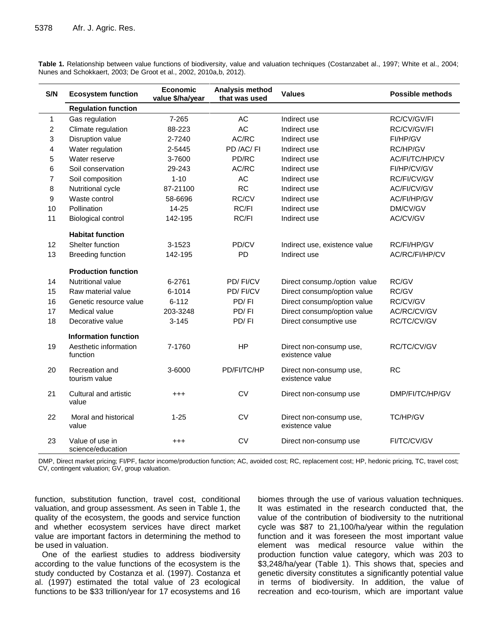| S/N            | <b>Ecosystem function</b>            | <b>Economic</b><br>value \$/ha/year | Analysis method<br>that was used | <b>Values</b>                              | <b>Possible methods</b> |
|----------------|--------------------------------------|-------------------------------------|----------------------------------|--------------------------------------------|-------------------------|
|                | <b>Regulation function</b>           |                                     |                                  |                                            |                         |
| $\mathbf{1}$   | Gas regulation                       | 7-265                               | AC                               | Indirect use                               | RC/CV/GV/FI             |
| $\overline{c}$ | Climate regulation                   | 88-223                              | AC                               | Indirect use                               | RC/CV/GV/FI             |
| 3              | Disruption value                     | 2-7240                              | AC/RC                            | Indirect use                               | FI/HP/GV                |
| 4              | Water regulation                     | 2-5445                              | PD /AC/FI                        | Indirect use                               | RC/HP/GV                |
| 5              | Water reserve                        | 3-7600                              | PD/RC                            | Indirect use                               | AC/FI/TC/HP/CV          |
| 6              | Soil conservation                    | 29-243                              | AC/RC                            | Indirect use                               | FI/HP/CV/GV             |
| $\overline{7}$ | Soil composition                     | $1 - 10$                            | AC                               | Indirect use                               | RC/FI/CV/GV             |
| 8              | Nutritional cycle                    | 87-21100                            | <b>RC</b>                        | Indirect use                               | AC/FI/CV/GV             |
| 9              | Waste control                        | 58-6696                             | RC/CV                            | Indirect use                               | AC/FI/HP/GV             |
| 10             | Pollination                          | 14-25                               | RC/FI                            | Indirect use                               | DM/CV/GV                |
| 11             | <b>Biological control</b>            | 142-195                             | RC/FI                            | Indirect use                               | AC/CV/GV                |
|                | <b>Habitat function</b>              |                                     |                                  |                                            |                         |
| 12             | Shelter function                     | 3-1523                              | PD/CV                            | Indirect use, existence value              | RC/FI/HP/GV             |
| 13             | <b>Breeding function</b>             | 142-195                             | PD                               | Indirect use                               | AC/RC/FI/HP/CV          |
|                | <b>Production function</b>           |                                     |                                  |                                            |                         |
| 14             | <b>Nutritional value</b>             | 6-2761                              | PD/FI/CV                         | Direct consump./option_value               | RC/GV                   |
| 15             | Raw material value                   | 6-1014                              | PD/FI/CV                         | Direct consump/option value                | RC/GV                   |
| 16             | Genetic resource value               | $6 - 112$                           | PD/FI                            | Direct consump/option value                | RC/CV/GV                |
| 17             | Medical value                        | 203-3248                            | PD/FI                            | Direct consump/option value                | AC/RC/CV/GV             |
| 18             | Decorative value                     | $3 - 145$                           | PD/FI                            | Direct consumptive use                     | RC/TC/CV/GV             |
|                | <b>Information function</b>          |                                     |                                  |                                            |                         |
| 19             | Aesthetic information<br>function    | 7-1760                              | HP                               | Direct non-consump use,<br>existence value | RC/TC/CV/GV             |
| 20             | Recreation and<br>tourism value      | 3-6000                              | PD/FI/TC/HP                      | Direct non-consump use,<br>existence value | <b>RC</b>               |
| 21             | Cultural and artistic<br>value       | $^{+++}$                            | <b>CV</b>                        | Direct non-consump use                     | DMP/FI/TC/HP/GV         |
| 22             | Moral and historical<br>value        | $1 - 25$                            | <b>CV</b>                        | Direct non-consump use,<br>existence value | <b>TC/HP/GV</b>         |
| 23             | Value of use in<br>science/education | $^{+++}$                            | <b>CV</b>                        | Direct non-consump use                     | FI/TC/CV/GV             |

**Table 1.** Relationship between value functions of biodiversity, value and valuation techniques (Costanzabet al., 1997; White et al., 2004; Nunes and Schokkaert, 2003; De Groot et al., 2002, 2010a,b, 2012).

DMP, Direct market pricing; FI/PF, factor income/production function; AC, avoided cost; RC, replacement cost; HP, hedonic pricing, TC, travel cost; CV, contingent valuation; GV, group valuation.

function, substitution function, travel cost, conditional valuation, and group assessment. As seen in Table 1, the quality of the ecosystem, the goods and service function and whether ecosystem services have direct market value are important factors in determining the method to be used in valuation.

One of the earliest studies to address biodiversity according to the value functions of the ecosystem is the study conducted by Costanza et al. (1997). Costanza et al. (1997) estimated the total value of 23 ecological functions to be \$33 trillion/year for 17 ecosystems and 16 biomes through the use of various valuation techniques. It was estimated in the research conducted that, the value of the contribution of biodiversity to the nutritional cycle was \$87 to 21,100/ha/year within the regulation function and it was foreseen the most important value element was medical resource value within the production function value category, which was 203 to \$3,248/ha/year (Table 1). This shows that, species and genetic diversity constitutes a significantly potential value in terms of biodiversity. In addition, the value of recreation and eco-tourism, which are important value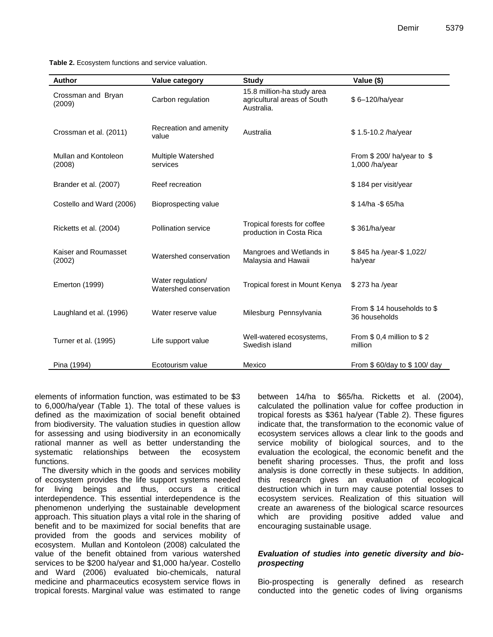**Table 2.** Ecosystem functions and service valuation.

| Author                         | Value category                              | <b>Study</b>                                                            | Value (\$)                                   |
|--------------------------------|---------------------------------------------|-------------------------------------------------------------------------|----------------------------------------------|
| Crossman and Bryan<br>(2009)   | Carbon regulation                           | 15.8 million-ha study area<br>agricultural areas of South<br>Australia. | \$6-120/ha/year                              |
| Crossman et al. (2011)         | Recreation and amenity<br>value             | Australia                                                               | \$1.5-10.2 /ha/year                          |
| Mullan and Kontoleon<br>(2008) | Multiple Watershed<br>services              |                                                                         | From \$200/ha/year to \$<br>$1,000$ /ha/year |
| Brander et al. (2007)          | Reef recreation                             |                                                                         | \$184 per visit/year                         |
| Costello and Ward (2006)       | Bioprospecting value                        |                                                                         | \$14/ha -\$65/ha                             |
| Ricketts et al. (2004)         | <b>Pollination service</b>                  | Tropical forests for coffee<br>production in Costa Rica                 | \$361/ha/year                                |
| Kaiser and Roumasset<br>(2002) | Watershed conservation                      | Mangroes and Wetlands in<br>Malaysia and Hawaii                         | \$845 ha /year-\$1,022/<br>ha/year           |
| <b>Emerton (1999)</b>          | Water regulation/<br>Watershed conservation | Tropical forest in Mount Kenya                                          | \$273 ha /year                               |
| Laughland et al. (1996)        | Water reserve value                         | Milesburg Pennsylvania                                                  | From \$14 households to \$<br>36 households  |
| Turner et al. (1995)           | Life support value                          | Well-watered ecosystems,<br>Swedish island                              | From \$ 0,4 million to \$2<br>million        |
| Pina (1994)                    | Ecotourism value                            | Mexico                                                                  | From \$60/day to \$100/day                   |

elements of information function, was estimated to be \$3 to 6,000/ha/year (Table 1). The total of these values is defined as the maximization of social benefit obtained from biodiversity. The valuation studies in question allow for assessing and using biodiversity in an economically rational manner as well as better understanding the systematic relationships between the ecosystem functions.

The diversity which in the goods and services mobility of ecosystem provides the life support systems needed for living beings and thus, occurs a critical interdependence. This essential interdependence is the phenomenon underlying the sustainable development approach. This situation plays a vital role in the sharing of benefit and to be maximized for social benefits that are provided from the goods and services mobility of ecosystem. Mullan and Kontoleon (2008) calculated the value of the benefit obtained from various watershed services to be \$200 ha/year and \$1,000 ha/year. Costello and Ward (2006) evaluated bio-chemicals, natural medicine and pharmaceutics ecosystem service flows in tropical forests. Marginal value was estimated to range

between 14/ha to \$65/ha. Ricketts et al. (2004), calculated the pollination value for coffee production in tropical forests as \$361 ha/year (Table 2). These figures indicate that, the transformation to the economic value of ecosystem services allows a clear link to the goods and service mobility of biological sources, and to the evaluation the ecological, the economic benefit and the benefit sharing processes. Thus, the profit and loss analysis is done correctly in these subjects. In addition, this research gives an evaluation of ecological destruction which in turn may cause potential losses to ecosystem services. Realization of this situation will create an awareness of the biological scarce resources which are providing positive added value and encouraging sustainable usage.

#### *Evaluation of studies into genetic diversity and bioprospecting*

Bio-prospecting is generally defined as research conducted into the genetic codes of living organisms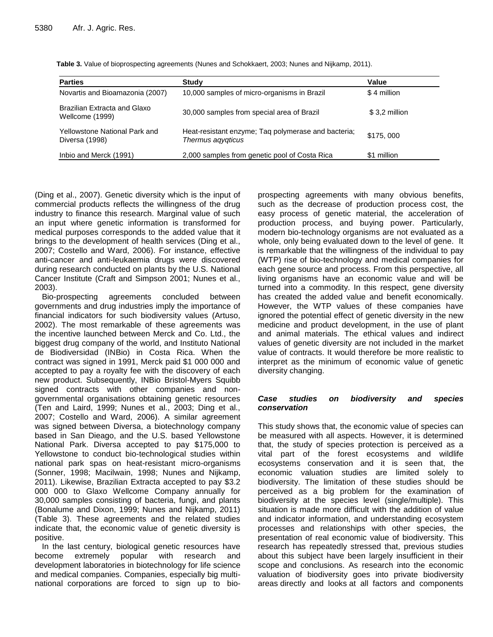| <b>Parties</b>                                  | Study                                                                    | Value         |
|-------------------------------------------------|--------------------------------------------------------------------------|---------------|
| Novartis and Bioamazonia (2007)                 | 10,000 samples of micro-organisms in Brazil                              | \$4 million   |
| Brazilian Extracta and Glaxo<br>Wellcome (1999) | 30,000 samples from special area of Brazil                               | \$3,2 million |
| Yellowstone National Park and<br>Diversa (1998) | Heat-resistant enzyme; Taq polymerase and bacteria;<br>Thermus agygticus | \$175,000     |
| Inbio and Merck (1991)                          | 2,000 samples from genetic pool of Costa Rica                            | \$1 million   |

**Table 3.** Value of bioprospecting agreements (Nunes and Schokkaert, 2003; Nunes and Nijkamp, 2011).

(Ding et al., 2007). Genetic diversity which is the input of commercial products reflects the willingness of the drug industry to finance this research. Marginal value of such an input where genetic information is transformed for medical purposes corresponds to the added value that it brings to the development of health services (Ding et al., 2007; Costello and Ward, 2006). For instance, effective anti-cancer and anti-leukaemia drugs were discovered during research conducted on plants by the U.S. National Cancer Institute (Craft and Simpson 2001; Nunes et al., 2003).

Bio-prospecting agreements concluded between governments and drug industries imply the importance of financial indicators for such biodiversity values (Artuso, 2002). The most remarkable of these agreements was the incentive launched between Merck and Co. Ltd., the biggest drug company of the world, and Instituto National de Biodiversidad (INBio) in Costa Rica. When the contract was signed in 1991, Merck paid \$1 000 000 and accepted to pay a royalty fee with the discovery of each new product. Subsequently, INBio Bristol-Myers Squibb signed contracts with other companies and nongovernmental organisations obtaining genetic resources (Ten and Laird, 1999; Nunes et al., 2003; Ding et al., 2007; Costello and Ward, 2006). A similar agreement was signed between Diversa, a biotechnology company based in San Dieago, and the U.S. based Yellowstone National Park. Diversa accepted to pay \$175,000 to Yellowstone to conduct bio-technological studies within national park spas on heat-resistant micro-organisms (Sonner, 1998; Macilwain, 1998; Nunes and Nijkamp, 2011). Likewise, Brazilian Extracta accepted to pay \$3.2 000 000 to Glaxo Wellcome Company annually for 30,000 samples consisting of bacteria, fungi, and plants (Bonalume and Dixon, 1999; Nunes and Nijkamp, 2011) (Table 3). These agreements and the related studies indicate that, the economic value of genetic diversity is positive.

In the last century, biological genetic resources have become extremely popular with research and development laboratories in biotechnology for life science and medical companies. Companies, especially big multinational corporations are forced to sign up to bio-

prospecting agreements with many obvious benefits, such as the decrease of production process cost, the easy process of genetic material, the acceleration of production process, and buying power. Particularly, modern bio-technology organisms are not evaluated as a whole, only being evaluated down to the level of gene. It is remarkable that the willingness of the individual to pay (WTP) rise of bio-technology and medical companies for each gene source and process. From this perspective, all living organisms have an economic value and will be turned into a commodity. In this respect, gene diversity has created the added value and benefit economically. However, the WTP values of these companies have ignored the potential effect of genetic diversity in the new medicine and product development, in the use of plant and animal materials. The ethical values and indirect values of genetic diversity are not included in the market value of contracts. It would therefore be more realistic to interpret as the minimum of economic value of genetic diversity changing.

#### *Case studies on biodiversity and species conservation*

This study shows that, the economic value of species can be measured with all aspects. However, it is determined that, the study of species protection is perceived as a vital part of the forest ecosystems and wildlife ecosystems conservation and it is seen that, the economic valuation studies are limited solely to biodiversity. The limitation of these studies should be perceived as a big problem for the examination of biodiversity at the species level (single/multiple). This situation is made more difficult with the addition of value and indicator information, and understanding ecosystem processes and relationships with other species, the presentation of real economic value of biodiversity. This research has repeatedly stressed that, previous studies about this subject have been largely insufficient in their scope and conclusions. As research into the economic valuation of biodiversity goes into private biodiversity areas directly and looks at all factors and components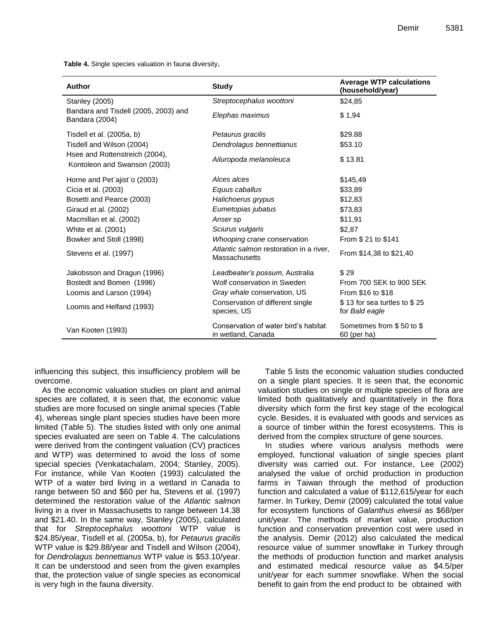**Table 4.** Single species valuation in fauna diversity**.**

| <b>Author</b>                                                  | <b>Study</b>                                               | <b>Average WTP calculations</b><br>(household/year) |
|----------------------------------------------------------------|------------------------------------------------------------|-----------------------------------------------------|
| <b>Stanley (2005)</b>                                          | Streptocephalus woottoni                                   | \$24,85                                             |
| Bandara and Tisdell (2005, 2003) and<br>Bandara (2004)         | Elephas maximus                                            | \$1,94                                              |
| Tisdell et al. (2005a, b)                                      | Petaurus gracilis                                          | \$29.88                                             |
| Tisdell and Wilson (2004)                                      | Dendrolagus bennettianus                                   | \$53.10                                             |
| Hsee and Rottenstreich (2004).<br>Kontoleon and Swanson (2003) | Ailuropoda melanoleuca                                     | \$13.81                                             |
| Horne and Pet"ajist"o (2003)                                   | Alces alces                                                | \$145,49                                            |
| Cicia et al. (2003)                                            | Equus caballus                                             | \$33,89                                             |
| Bosetti and Pearce (2003)                                      | Halichoerus grypus                                         | \$12,83                                             |
| Giraud et al. (2002)                                           | Eumetopias jubatus                                         | \$73,83                                             |
| Macmillan et al. (2002)                                        | Anser sp                                                   | \$11,91                                             |
| White et al. (2001)                                            | Sciurus vulgaris                                           | \$2,87                                              |
| Bowker and Stoll (1998)                                        | Whooping crane conservation                                | From \$21 to \$141                                  |
| Stevens et al. (1997)                                          | Atlantic salmon restoration in a river,<br>Massachusetts   | From \$14,38 to \$21,40                             |
| Jakobsson and Dragun (1996)                                    | Leadbeater's possum, Australia                             | \$29                                                |
| Bostedt and Bomen (1996)                                       | Wolf conservation in Sweden                                | From 700 SEK to 900 SEK                             |
| Loomis and Larson (1994)                                       | Gray whale conservation, US                                | From \$16 to \$18                                   |
| Loomis and Helfand (1993)                                      | Conservation of different single<br>species, US            | \$13 for sea turtles to \$25<br>for Bald eagle      |
| Van Kooten (1993)                                              | Conservation of water bird's habitat<br>in wetland, Canada | Sometimes from \$50 to \$<br>60 (per ha)            |

influencing this subject, this insufficiency problem will be overcome.

As the economic valuation studies on plant and animal species are collated, it is seen that, the economic value studies are more focused on single animal species (Table 4), whereas single plant species studies have been more limited (Table 5). The studies listed with only one animal species evaluated are seen on Table 4. The calculations were derived from the contingent valuation (CV) practices and WTP) was determined to avoid the loss of some special species (Venkatachalam, 2004; Stanley, 2005). For instance, while Van Kooten (1993) calculated the WTP of a water bird living in a wetland in Canada to range between 50 and \$60 per ha, Stevens et al. (1997) determined the restoration value of the *Atlantic salmon* living in a river in Massachusetts to range between 14.38 and \$21.40. In the same way, Stanley (2005), calculated that for *Streptocephalus woottoni* WTP value is \$24.85/year, Tisdell et al. (2005a, b), for *Petaurus gracilis* WTP value is \$29.88/year and Tisdell and Wilson (2004), for *Dendrolagus bennettianus* WTP value is \$53.10/year. It can be understood and seen from the given examples that, the protection value of single species as economical is very high in the fauna diversity.

Table 5 lists the economic valuation studies conducted on a single plant species. It is seen that, the economic valuation studies on single or multiple species of flora are limited both qualitatively and quantitatively in the flora diversity which form the first key stage of the ecological cycle. Besides, it is evaluated with goods and services as a source of timber within the forest ecosystems. This is derived from the complex structure of gene sources.

In studies where various analysis methods were employed, functional valuation of single species plant diversity was carried out. For instance, Lee (2002) analysed the value of orchid production in production farms in Taiwan through the method of production function and calculated a value of \$112,615/year for each farmer. In Turkey, Demir (2009) calculated the total value for ecosystem functions of *Galanthus elwesii* as \$68/per unit/year. The methods of market value, production function and conservation prevention cost were used in the analysis. Demir (2012) also calculated the medical resource value of summer snowflake in Turkey through the methods of production function and market analysis and estimated medical resource value as \$4.5/per unit/year for each summer snowflake. When the social benefit to gain from the end product to be obtained with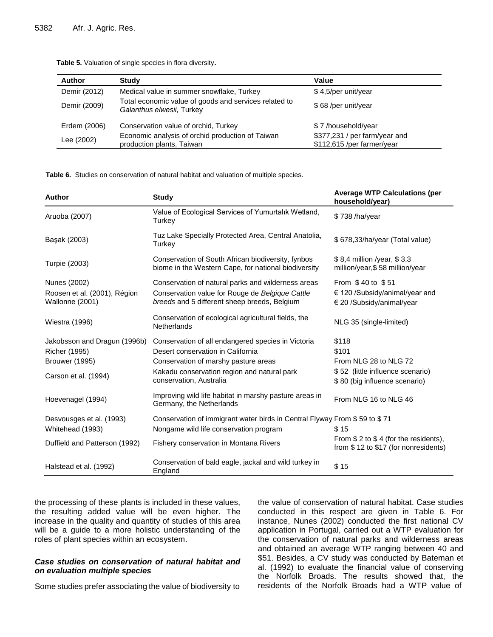| <b>Author</b> | Study                                                                              | Value                                                       |
|---------------|------------------------------------------------------------------------------------|-------------------------------------------------------------|
| Demir (2012)  | Medical value in summer snowflake, Turkey                                          | \$4,5/per unit/year                                         |
| Demir (2009)  | Total economic value of goods and services related to<br>Galanthus elwesii, Turkey | \$68/per unit/year                                          |
| Erdem (2006)  | Conservation value of orchid, Turkey                                               | \$7/household/year                                          |
| Lee (2002)    | Economic analysis of orchid production of Taiwan<br>production plants, Taiwan      | \$377,231 / per farm/year and<br>\$112,615 /per farmer/year |

**Table 5.** Valuation of single species in flora diversity**.**

**Table 6.** Studies on conservation of natural habitat and valuation of multiple species.

| <b>Author</b>                                   | <b>Study</b>                                                                                               | <b>Average WTP Calculations (per</b><br>household/year)                        |
|-------------------------------------------------|------------------------------------------------------------------------------------------------------------|--------------------------------------------------------------------------------|
| Aruoba (2007)                                   | Value of Ecological Services of Yumurtalik Wetland,<br>Turkey                                              | \$738/ha/year                                                                  |
| Başak (2003)                                    | Tuz Lake Specially Protected Area, Central Anatolia,<br>Turkey                                             | \$678,33/ha/year (Total value)                                                 |
| Turpie (2003)                                   | Conservation of South African biodiversity, fynbos<br>biome in the Western Cape, for national biodiversity | \$8,4 million /year, \$3,3<br>million/year, \$58 million/year                  |
| Nunes (2002)                                    | Conservation of natural parks and wilderness areas                                                         | From \$40 to \$51                                                              |
| Roosen et al. (2001), Région<br>Wallonne (2001) | Conservation value for Rouge de Belgique Cattle<br>breeds and 5 different sheep breeds, Belgium            | $\epsilon$ 120 /Subsidy/animal/year and<br>€ 20 /Subsidy/animal/year           |
| <b>Wiestra (1996)</b>                           | Conservation of ecological agricultural fields, the<br>Netherlands                                         | NLG 35 (single-limited)                                                        |
| Jakobsson and Dragun (1996b)                    | Conservation of all endangered species in Victoria                                                         | \$118                                                                          |
| <b>Richer (1995)</b>                            | Desert conservation in California                                                                          | \$101                                                                          |
| <b>Brouwer (1995)</b>                           | Conservation of marshy pasture areas                                                                       | From NLG 28 to NLG 72                                                          |
| Carson et al. (1994)                            | Kakadu conservation region and natural park<br>conservation, Australia                                     | \$52 (little influence scenario)<br>\$80 (big influence scenario)              |
| Hoevenagel (1994)                               | Improving wild life habitat in marshy pasture areas in<br>Germany, the Netherlands                         | From NLG 16 to NLG 46                                                          |
| Desvousges et al. (1993)                        | Conservation of immigrant water birds in Central Flyway From \$59 to \$71                                  |                                                                                |
| Whitehead (1993)                                | Nongame wild life conservation program                                                                     | \$15                                                                           |
| Duffield and Patterson (1992)                   | Fishery conservation in Montana Rivers                                                                     | From $$2$ to $$4$ (for the residents),<br>from \$12 to \$17 (for nonresidents) |
| Halstead et al. (1992)                          | Conservation of bald eagle, jackal and wild turkey in<br>England                                           | \$15                                                                           |

the processing of these plants is included in these values, the resulting added value will be even higher. The increase in the quality and quantity of studies of this area will be a guide to a more holistic understanding of the roles of plant species within an ecosystem.

#### *Case studies on conservation of natural habitat and on evaluation multiple species*

Some studies prefer associating the value of biodiversity to

the value of conservation of natural habitat. Case studies conducted in this respect are given in Table 6. For instance, Nunes (2002) conducted the first national CV application in Portugal, carried out a WTP evaluation for the conservation of natural parks and wilderness areas and obtained an average WTP ranging between 40 and \$51. Besides, a CV study was conducted by Bateman et al. (1992) to evaluate the financial value of conserving the Norfolk Broads. The results showed that, the residents of the Norfolk Broads had a WTP value of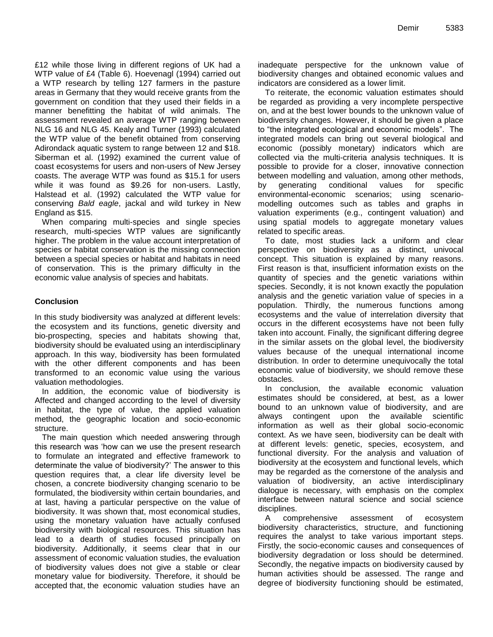£12 while those living in different regions of UK had a WTP value of £4 (Table 6). Hoevenagl (1994) carried out a WTP research by telling 127 farmers in the pasture areas in Germany that they would receive grants from the government on condition that they used their fields in a manner benefitting the habitat of wild animals. The assessment revealed an average WTP ranging between NLG 16 and NLG 45. Kealy and Turner (1993) calculated the WTP value of the benefit obtained from conserving Adirondack aquatic system to range between 12 and \$18. Siberman et al. (1992) examined the current value of coast ecosystems for users and non-users of New Jersey coasts. The average WTP was found as \$15.1 for users while it was found as \$9.26 for non-users. Lastly, Halstead et al. (1992) calculated the WTP value for conserving *Bald eagle*, jackal and wild turkey in New England as \$15.

When comparing multi-species and single species research, multi-species WTP values are significantly higher. The problem in the value account interpretation of species or habitat conservation is the missing connection between a special species or habitat and habitats in need of conservation. This is the primary difficulty in the economic value analysis of species and habitats.

#### **Conclusion**

In this study biodiversity was analyzed at different levels: the ecosystem and its functions, genetic diversity and bio-prospecting, species and habitats showing that, biodiversity should be evaluated using an interdisciplinary approach. In this way, biodiversity has been formulated with the other different components and has been transformed to an economic value using the various valuation methodologies.

In addition, the economic value of biodiversity is Affected and changed according to the level of diversity in habitat, the type of value, the applied valuation method, the geographic location and socio-economic structure.

The main question which needed answering through this research was 'how can we use the present research to formulate an integrated and effective framework to determinate the value of biodiversity?' The answer to this question requires that, a clear life diversity level be chosen, a concrete biodiversity changing scenario to be formulated, the biodiversity within certain boundaries, and at last, having a particular perspective on the value of biodiversity. It was shown that, most economical studies, using the monetary valuation have actually confused biodiversity with biological resources. This situation has lead to a dearth of studies focused principally on biodiversity. Additionally, it seems clear that in our assessment of economic valuation studies, the evaluation of biodiversity values does not give a stable or clear monetary value for biodiversity. Therefore, it should be accepted that, the economic valuation studies have an inadequate perspective for the unknown value of biodiversity changes and obtained economic values and indicators are considered as a lower limit.

To reiterate, the economic valuation estimates should be regarded as providing a very incomplete perspective on, and at the best lower bounds to the unknown value of biodiversity changes. However, it should be given a place to "the integrated ecological and economic models". The integrated models can bring out several biological and economic (possibly monetary) indicators which are collected via the multi-criteria analysis techniques. It is possible to provide for a closer, innovative connection between modelling and valuation, among other methods, by generating conditional values for specific environmental-economic scenarios; using scenariomodelling outcomes such as tables and graphs in valuation experiments (e.g., contingent valuation) and using spatial models to aggregate monetary values related to specific areas.

To date, most studies lack a uniform and clear perspective on biodiversity as a distinct, univocal concept. This situation is explained by many reasons. First reason is that, insufficient information exists on the quantity of species and the genetic variations within species. Secondly, it is not known exactly the population analysis and the genetic variation value of species in a population. Thirdly, the numerous functions among ecosystems and the value of interrelation diversity that occurs in the different ecosystems have not been fully taken into account. Finally, the significant differing degree in the similar assets on the global level, the biodiversity values because of the unequal international income distribution. In order to determine unequivocally the total economic value of biodiversity, we should remove these obstacles.

In conclusion, the available economic valuation estimates should be considered, at best, as a lower bound to an unknown value of biodiversity, and are always contingent upon the available scientific information as well as their global socio-economic context. As we have seen, biodiversity can be dealt with at different levels: genetic, species, ecosystem, and functional diversity. For the analysis and valuation of biodiversity at the ecosystem and functional levels, which may be regarded as the cornerstone of the analysis and valuation of biodiversity, an active interdisciplinary dialogue is necessary, with emphasis on the complex interface between natural science and social science disciplines.

A comprehensive assessment of ecosystem biodiversity characteristics, structure, and functioning requires the analyst to take various important steps. Firstly, the socio-economic causes and consequences of biodiversity degradation or loss should be determined. Secondly, the negative impacts on biodiversity caused by human activities should be assessed. The range and degree of biodiversity functioning should be estimated,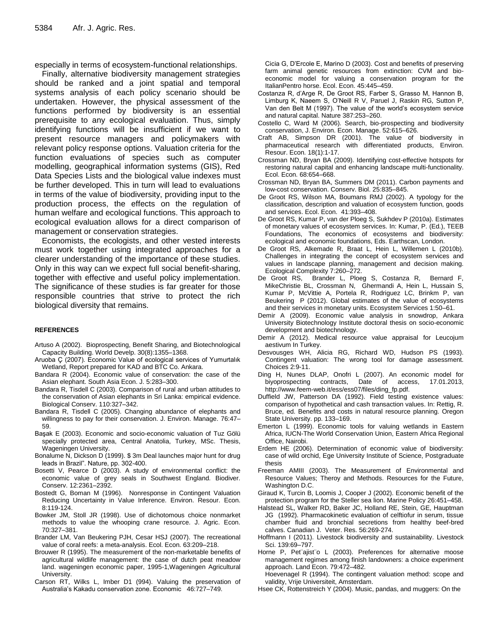especially in terms of ecosystem-functional relationships.

Finally, alternative biodiversity management strategies should be ranked and a joint spatial and temporal systems analysis of each policy scenario should be undertaken. However, the physical assessment of the functions performed by biodiversity is an essential prerequisite to any ecological evaluation. Thus, simply identifying functions will be insufficient if we want to present resource managers and policymakers with relevant policy response options. Valuation criteria for the function evaluations of species such as computer modelling, geographical information systems (GIS), Red Data Species Lists and the biological value indexes must be further developed. This in turn will lead to evaluations in terms of the value of biodiversity, providing input to the production process, the effects on the regulation of human welfare and ecological functions. This approach to ecological evaluation allows for a direct comparison of management or conservation strategies.

Economists, the ecologists, and other vested interests must work together using integrated approaches for a clearer understanding of the importance of these studies. Only in this way can we expect full social benefit-sharing, together with effective and useful policy implementation. The significance of these studies is far greater for those responsible countries that strive to protect the rich biological diversity that remains.

#### **REFERENCES**

- Artuso A (2002). Bioprospecting, Benefit Sharing, and Biotechnological Capacity Building. World Develp. 30(8):1355–1368.
- Aruoba Ç (2007). Economic Value of ecological services of Yumurtalık Wetland, Report prepared for KAD and BTC Co. Ankara.
- Bandara R (2004). Economic value of conservation: the case of the Asian elephant. South Asia Econ. J. 5:283–300.
- Bandara R, Tisdell C (2003). Comparison of rural and urban attitudes to the conservation of Asian elephants in Sri Lanka: empirical evidence. Biological Conserv. 110:327–342.
- Bandara R, Tisdell C (2005). Changing abundance of elephants and willingness to pay for their conservation. J. Environ. Manage. 76:47– 59.
- Başak E (2003). Economic and socio-economic valuation of Tuz Gölü specially protected area, Central Anatolia, Turkey, MSc. Thesis, Wageningen University.
- Bonalume N, Dickson D (1999). \$ 3m Deal launches major hunt for drug leads in Brazil". Nature, pp. 302-400.
- Bosetti V, Pearce D (2003). A study of environmental conflict: the economic value of grey seals in Southwest England. Biodiver. Conserv. 12:2361–2392.
- Bostedt G, Boman M (1996). Nonresponse in Contingent Valuation Reducing Uncertainty in Value Inference. Environ. Resour. Econ. 8:119-124.
- Bowker JM, Stoll JR (1998). Use of dichotomous choice nonmarket methods to value the whooping crane resource. J. Agric. Econ. 70:327–381.
- Brander LM, Van Beukering PJH, Cesar HSJ (2007). The recreational value of coral reefs: a meta-analysis. Ecol. Econ. 63:209–218.
- Brouwer R (1995). The measurement of the non-marketable benefits of agricultural wildlife management: the case of dutch peat meadow land. wageningen economic paper, 1995-1,Wageningen Agricultural University.
- Carson RT, Wilks L, Imber D1 (994). Valuing the preservation of Australia's Kakadu conservation zone. Economic 46:727–749.

Cicia G, D'Ercole E, Marino D (2003). Cost and benefits of preserving farm animal genetic resources from extinction: CVM and bioeconomic model for valuing a conservation program for the ItalianPentro horse. Ecol. Econ. 45:445–459.

- Costanza R, d'Arge R, De Groot RS, Farber S, Grasso M, Hannon B, Limburg K, Naeem S, O'Neill R V, Paruel J, Raskin RG, Sutton P, Van den Belt M (1997). The value of the world's ecosystem service and natural capital. Nature 387:253–260.
- Costello C, Ward M (2006). Search, bio-prospecting and biodiversity conservation, J. Environ. Econ. Manage. 52:615–626.
- Craft AB, Simpson DR (2001). The value of biodiversity in pharmaceutical research with differentiated products, Environ. Resour. Econ. 18(1):1-17.
- Crossman ND, Bryan BA (2009). Identifying cost-effective hotspots for restoring natural capital and enhancing landscape multi-functionality. Ecol. Econ. 68:654–668.
- Crossman ND, Bryan BA, Summers DM (2011). Carbon payments and low-cost conservation. Conserv. Biol. 25:835–845.
- De Groot RS, Wilson MA, Boumans RMJ (2002). A typology for the classification, description and valuation of ecosystem function, goods and services. Ecol. Econ. 41:393–408.
- De Groot RS, Kumar P, van der Ploeg S, Sukhdev P (2010a). Estimates of monetary values of ecosystem services. In: Kumar, P. (Ed.), TEEB Foundations, The economics of ecosystems and biodiversity: ecological and economic foundations, Eds. Earthscan, London.
- De Groot RS, Alkemade R, Braat L, Hein L, Willemen L (2010b). Challenges in integrating the concept of ecosystem services and values in landscape planning, management and decision making.
- Ecological Complexity 7:260-272.<br>De Groot RS, Brander L, Ploe Brander L, Ploeg S, Costanza R, Bernard F, MikeChristie BL, Crossman N, Ghermandi A, Hein L, Hussain S, Kumar P, McVittie A, Portela R, Rodriguez LC, Brinkm P, van Beukering P (2012). Global estimates of the value of ecosystems and their services in monetary units. Ecosystem Services 1:50–61.
- Demir A (2009). Economic value analysis in snowdrop, Ankara University Biotechnology Institute doctoral thesis on socio-economic development and biotechnology.
- Demir A (2012). Medical resource value appraisal for Leucojum aestivum In Turkey.
- Desvousges WH, Alicia RG, Richard WD, Hudson PS (1993). Contingent valuation: The wrong tool for damage assessment. Choices 2:9-11.
- Ding H, Nunes DLAP, Onofri L (2007). An economic model for biyoprospecting contracts, Date of access, 17.01.2013, http://www.feem-web.it/ess/ess07/files/ding\_fp.pdf.
- Duffield JW, Patterson DA (1992). Field testing existence values: comparison of hypothetical and cash transaction values. In: Rettig, R. Bruce, ed. Benefits and costs in natural resource planning. Oregon State University. pp. 133–169.
- Emerton L (1999). Economic tools for valuing wetlands in Eastern Africa, IUCN-The World Conservation Union, Eastern Africa Regional Office, Nairobi.
- Erdem HE (2006). Determination of economic value of biodiversity: case of wild orchid, Ege University Institute of Science, Postgraduate thesis
- Freeman AMIII (2003). The Measurement of Environmental and Resource Values; Theroy and Methods. Resources for the Future, Washington D.C.
- Giraud K, Turcin B, Loomis J, Cooper J (2002). Economic benefit of the protection program for the Steller sea lion. Marine Policy 26:451–458.
- Halstead SL, Walker RD, Baker JC, Holland RE, Stein, GE, Hauptman JG (1992). Pharmacokinetic evaluation of celftiofur in serum, tissue chamber fluid and bronchial secretions from healthy beef-bred calves. Canadian J. Veter. Res. 56:269-274.
- Hoffmann I (2011). Livestock biodiversity and sustainability. Livestock Sci. 139:69–797.
- Horne P, Petïajistïo L (2003). Preferences for alternative moose management regimes among finish landowners: a choice experiment approach. Land Econ. 79:472–482.

Hoevenagel R (1994). The contingent valuation method: scope and validity, Vrije Universiteit, Amsterdam.

Hsee CK, Rottenstreich Y (2004). Music, pandas, and muggers: On the